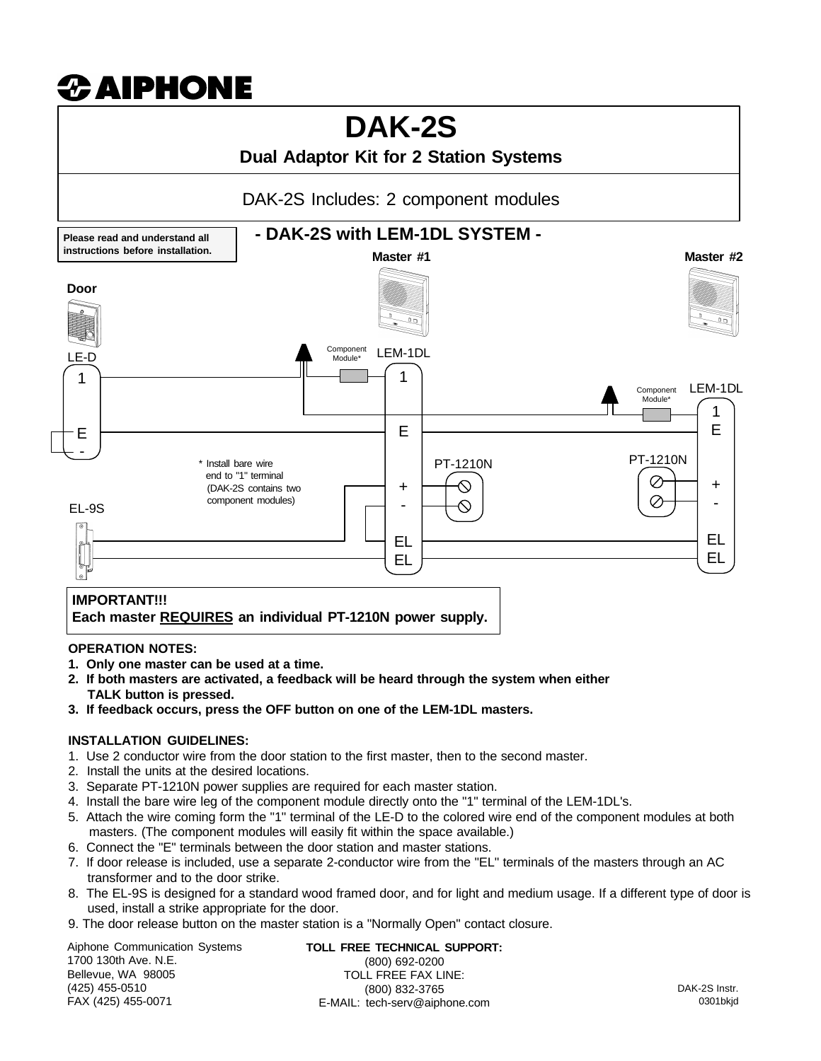# $\boldsymbol{x}$  aiphone

# **DAK-2S**

# **Dual Adaptor Kit for 2 Station Systems**

DAK-2S Includes: 2 component modules



#### **OPERATION NOTES:**

- **1. Only one master can be used at a time.**
- **2. If both masters are activated, a feedback will be heard through the system when either TALK button is pressed.**
- **3. If feedback occurs, press the OFF button on one of the LEM-1DL masters.**

#### **INSTALLATION GUIDELINES:**

- 1. Use 2 conductor wire from the door station to the first master, then to the second master.
- 2. Install the units at the desired locations.
- 3. Separate PT-1210N power supplies are required for each master station.
- 4. Install the bare wire leg of the component module directly onto the "1" terminal of the LEM-1DL's.
- 5. Attach the wire coming form the "1" terminal of the LE-D to the colored wire end of the component modules at both masters. (The component modules will easily fit within the space available.)
- 6. Connect the "E" terminals between the door station and master stations.
- 7. If door release is included, use a separate 2-conductor wire from the "EL" terminals of the masters through an AC transformer and to the door strike.
- 8. The EL-9S is designed for a standard wood framed door, and for light and medium usage. If a different type of door is used, install a strike appropriate for the door.
- 9. The door release button on the master station is a "Normally Open" contact closure.

Aiphone Communication Systems 1700 130th Ave. N.E. Bellevue, WA 98005 (425) 455-0510 FAX (425) 455-0071

**TOLL FREE TECHNICAL SUPPORT:** (800) 692-0200 TOLL FREE FAX LINE: (800) 832-3765 E-MAIL: tech-serv@aiphone.com

DAK-2S Instr. 0301bkjd